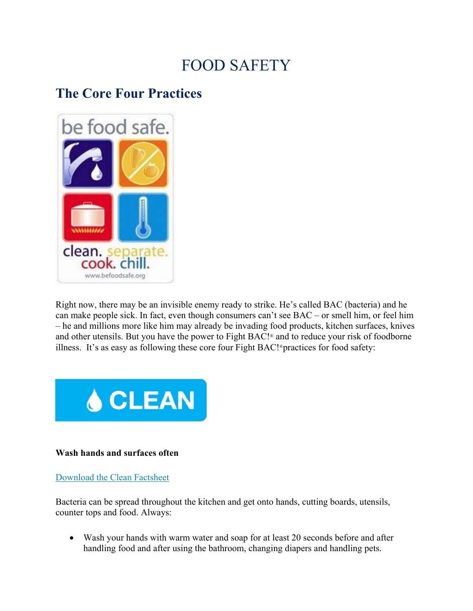# FOOD SAFETY

## **The Core Four Practices**



Right now, there may be an invisible enemy ready to strike. He's called BAC (bacteria) and he can make people sick. In fact, even though consumers can't see BAC – or smell him, or feel him – he and millions more like him may already be invading food products, kitchen surfaces, knives and other utensils. But you have the power to Fight BAC!® and to reduce your risk of foodborne illness. It's as easy as following these core four Fight BAC!®practices for food safety:



#### **Wash hands and surfaces often**

#### Download the Clean Factsheet

Bacteria can be spread throughout the kitchen and get onto hands, cutting boards, utensils, counter tops and food. Always:

 Wash your hands with warm water and soap for at least 20 seconds before and after handling food and after using the bathroom, changing diapers and handling pets.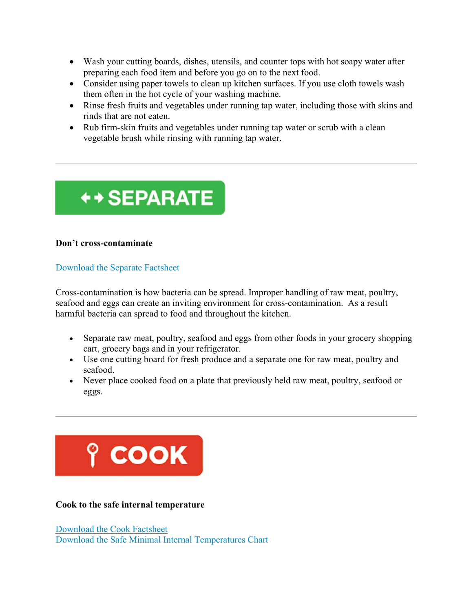- Wash your cutting boards, dishes, utensils, and counter tops with hot soapy water after preparing each food item and before you go on to the next food.
- Consider using paper towels to clean up kitchen surfaces. If you use cloth towels wash them often in the hot cycle of your washing machine.
- Rinse fresh fruits and vegetables under running tap water, including those with skins and rinds that are not eaten.
- Rub firm-skin fruits and vegetables under running tap water or scrub with a clean vegetable brush while rinsing with running tap water.



### **Don't cross-contaminate**

#### Download the Separate Factsheet

Cross-contamination is how bacteria can be spread. Improper handling of raw meat, poultry, seafood and eggs can create an inviting environment for cross-contamination. As a result harmful bacteria can spread to food and throughout the kitchen.

- Separate raw meat, poultry, seafood and eggs from other foods in your grocery shopping cart, grocery bags and in your refrigerator.
- Use one cutting board for fresh produce and a separate one for raw meat, poultry and seafood.
- Never place cooked food on a plate that previously held raw meat, poultry, seafood or eggs.



**Cook to the safe internal temperature**

Download the Cook Factsheet Download the Safe Minimal Internal Temperatures Chart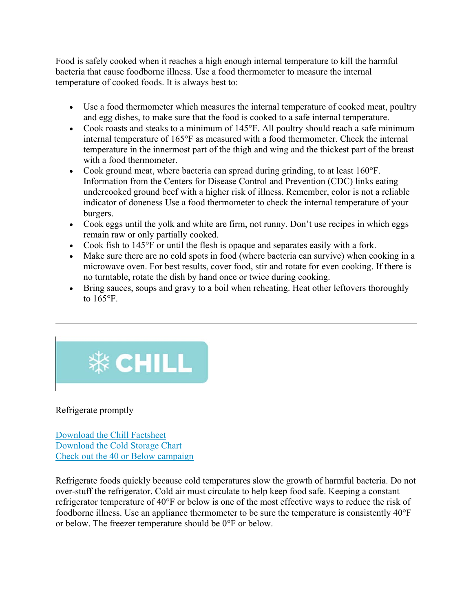Food is safely cooked when it reaches a high enough internal temperature to kill the harmful bacteria that cause foodborne illness. Use a food thermometer to measure the internal temperature of cooked foods. It is always best to:

- Use a food thermometer which measures the internal temperature of cooked meat, poultry and egg dishes, to make sure that the food is cooked to a safe internal temperature.
- Cook roasts and steaks to a minimum of 145°F. All poultry should reach a safe minimum internal temperature of 165°F as measured with a food thermometer. Check the internal temperature in the innermost part of the thigh and wing and the thickest part of the breast with a food thermometer.
- Cook ground meat, where bacteria can spread during grinding, to at least 160°F. Information from the Centers for Disease Control and Prevention (CDC) links eating undercooked ground beef with a higher risk of illness. Remember, color is not a reliable indicator of doneness Use a food thermometer to check the internal temperature of your burgers.
- Cook eggs until the yolk and white are firm, not runny. Don't use recipes in which eggs remain raw or only partially cooked.
- Cook fish to 145°F or until the flesh is opaque and separates easily with a fork.
- Make sure there are no cold spots in food (where bacteria can survive) when cooking in a microwave oven. For best results, cover food, stir and rotate for even cooking. If there is no turntable, rotate the dish by hand once or twice during cooking.
- Bring sauces, soups and gravy to a boil when reheating. Heat other leftovers thoroughly to 165°F.



Refrigerate promptly

Download the Chill Factsheet Download the Cold Storage Chart Check out the 40 or Below campaign

Refrigerate foods quickly because cold temperatures slow the growth of harmful bacteria. Do not over-stuff the refrigerator. Cold air must circulate to help keep food safe. Keeping a constant refrigerator temperature of 40°F or below is one of the most effective ways to reduce the risk of foodborne illness. Use an appliance thermometer to be sure the temperature is consistently 40°F or below. The freezer temperature should be 0°F or below.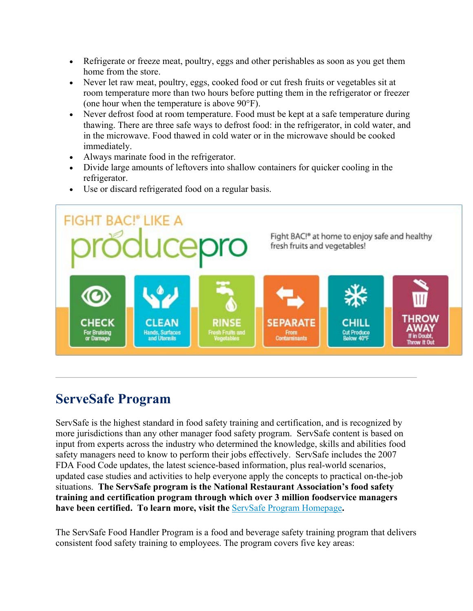- Refrigerate or freeze meat, poultry, eggs and other perishables as soon as you get them home from the store.
- Never let raw meat, poultry, eggs, cooked food or cut fresh fruits or vegetables sit at room temperature more than two hours before putting them in the refrigerator or freezer (one hour when the temperature is above 90°F).
- Never defrost food at room temperature. Food must be kept at a safe temperature during thawing. There are three safe ways to defrost food: in the refrigerator, in cold water, and in the microwave. Food thawed in cold water or in the microwave should be cooked immediately.
- Always marinate food in the refrigerator.
- Divide large amounts of leftovers into shallow containers for quicker cooling in the refrigerator.



Use or discard refrigerated food on a regular basis.

## **ServeSafe Program**

ServSafe is the highest standard in food safety training and certification, and is recognized by more jurisdictions than any other manager food safety program. ServSafe content is based on input from experts across the industry who determined the knowledge, skills and abilities food safety managers need to know to perform their jobs effectively. ServSafe includes the 2007 FDA Food Code updates, the latest science-based information, plus real-world scenarios, updated case studies and activities to help everyone apply the concepts to practical on-the-job situations. **The ServSafe program is the National Restaurant Association's food safety training and certification program through which over 3 million foodservice managers have been certified. To learn more, visit the** ServSafe Program Homepage**.**

The ServSafe Food Handler Program is a food and beverage safety training program that delivers consistent food safety training to employees. The program covers five key areas: